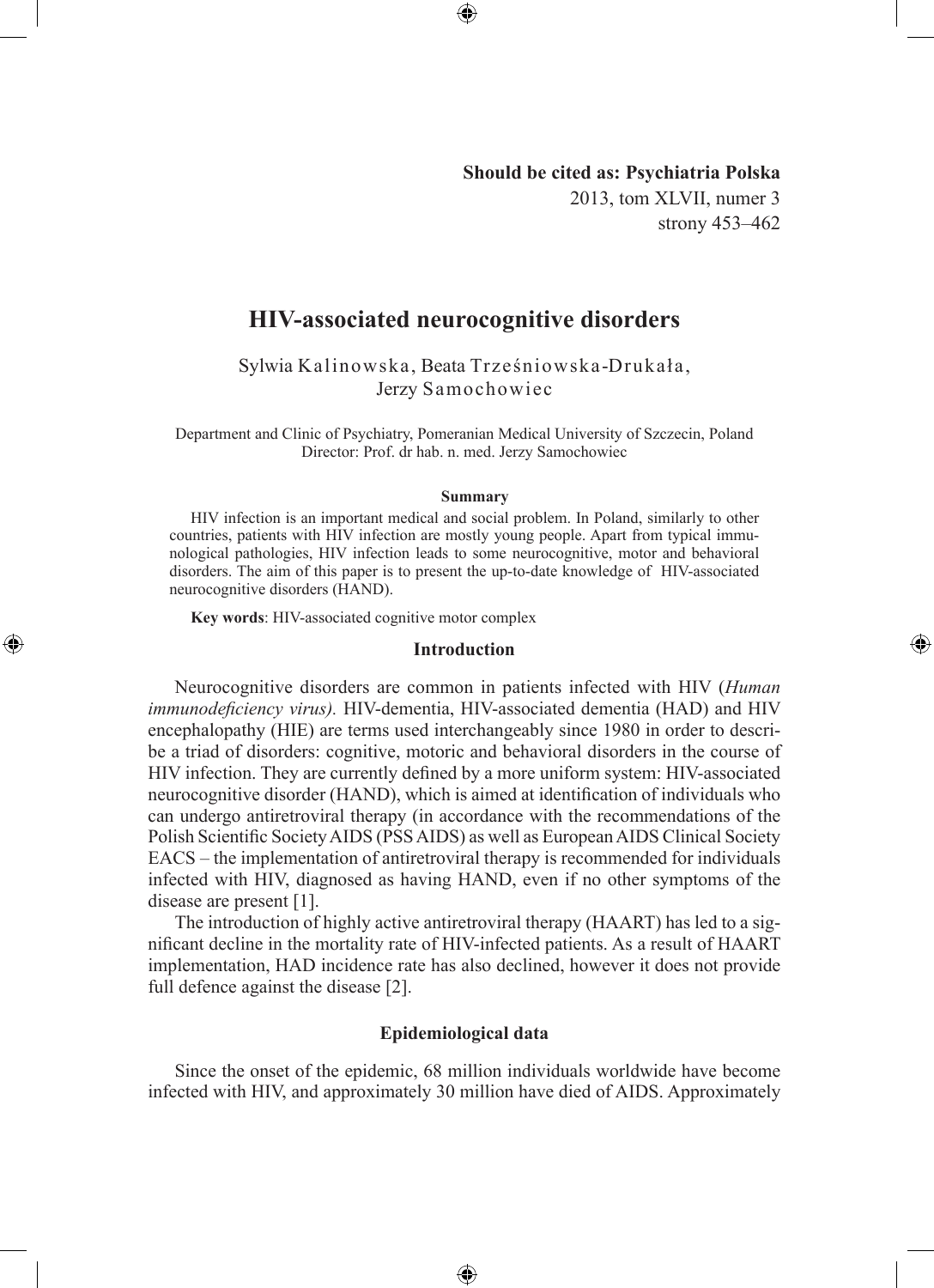# **Should be cited as: Psychiatria Polska** 2013, tom XLVII, numer 3 strony 453–462

◈

# **HIV-associated neurocognitive disorders**

⊕

Sylwia Kalinowska, Beata Trześniowska-Drukała, Jerzy Samochowiec

Department and Clinic of Psychiatry, Pomeranian Medical University of Szczecin, Poland Director: Prof. dr hab. n. med. Jerzy Samochowiec

#### **Summary**

HIV infection is an important medical and social problem. In Poland, similarly to other countries, patients with HIV infection are mostly young people. Apart from typical immunological pathologies, HIV infection leads to some neurocognitive, motor and behavioral disorders. The aim of this paper is to present the up-to-date knowledge of HIV-associated neurocognitive disorders (HAND).

**Key words**: HIV-associated cognitive motor complex

◈

#### **Introduction**

Neurocognitive disorders are common in patients infected with HIV (*Human immunodeficiency virus).* HIV-dementia, HIV-associated dementia (HAD) and HIV encephalopathy (HIE) are terms used interchangeably since 1980 in order to describe a triad of disorders: cognitive, motoric and behavioral disorders in the course of HIV infection. They are currently defined by a more uniform system: HIV-associated neurocognitive disorder (HAND), which is aimed at identification of individuals who can undergo antiretroviral therapy (in accordance with the recommendations of the Polish Scientific Society AIDS (PSS AIDS) as well as European AIDS Clinical Society EACS – the implementation of antiretroviral therapy is recommended for individuals infected with HIV, diagnosed as having HAND, even if no other symptoms of the disease are present [1].

The introduction of highly active antiretroviral therapy (HAART) has led to a significant decline in the mortality rate of HIV-infected patients. As a result of HAART implementation, HAD incidence rate has also declined, however it does not provide full defence against the disease [2].

# **Epidemiological data**

Since the onset of the epidemic, 68 million individuals worldwide have become infected with HIV, and approximately 30 million have died of AIDS. Approximately

⊕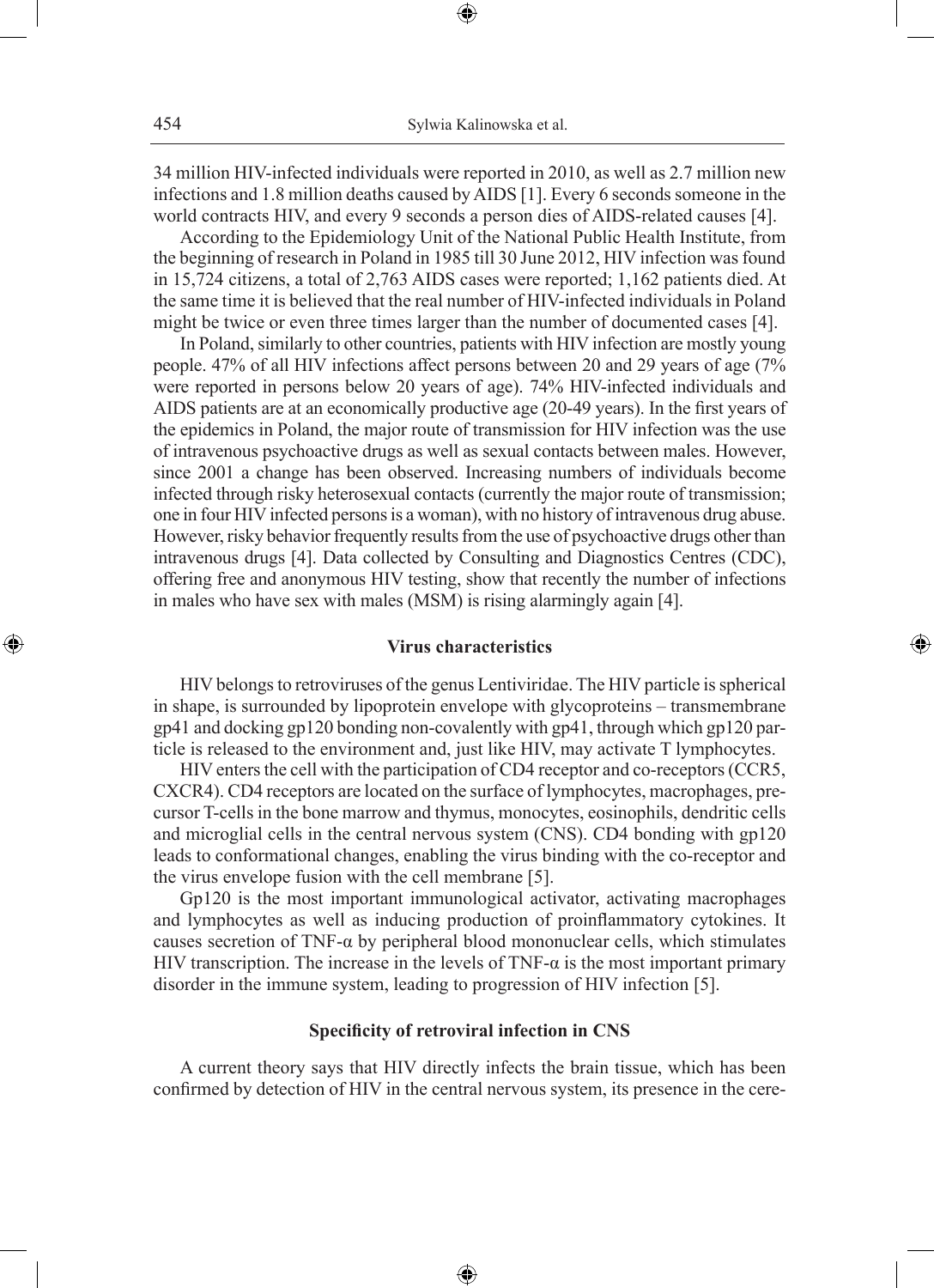34 million HIV-infected individuals were reported in 2010, as well as 2.7 million new infections and 1.8 million deaths caused by AIDS [1]. Every 6 seconds someone in the world contracts HIV, and every 9 seconds a person dies of AIDS-related causes [4].

⊕

According to the Epidemiology Unit of the National Public Health Institute, from the beginning of research in Poland in 1985 till 30 June 2012, HIV infection was found in 15,724 citizens, a total of 2,763 AIDS cases were reported; 1,162 patients died. At the same time it is believed that the real number of HIV-infected individuals in Poland might be twice or even three times larger than the number of documented cases [4].

In Poland, similarly to other countries, patients with HIV infection are mostly young people. 47% of all HIV infections affect persons between 20 and 29 years of age (7% were reported in persons below 20 years of age). 74% HIV-infected individuals and AIDS patients are at an economically productive age (20-49 years). In the first years of the epidemics in Poland, the major route of transmission for HIV infection was the use of intravenous psychoactive drugs as well as sexual contacts between males. However, since 2001 a change has been observed. Increasing numbers of individuals become infected through risky heterosexual contacts (currently the major route of transmission; one in four HIV infected persons is a woman), with no history of intravenous drug abuse. However, risky behavior frequently results from the use of psychoactive drugs other than intravenous drugs [4]. Data collected by Consulting and Diagnostics Centres (CDC), offering free and anonymous HIV testing, show that recently the number of infections in males who have sex with males (MSM) is rising alarmingly again [4].

# **Virus characteristics**

◈

HIV belongs to retroviruses of the genus Lentiviridae. The HIV particle is spherical in shape, is surrounded by lipoprotein envelope with glycoproteins – transmembrane gp41 and docking gp120 bonding non-covalently with gp41, through which gp120 particle is released to the environment and, just like HIV, may activate T lymphocytes.

HIV enters the cell with the participation of CD4 receptor and co-receptors (CCR5, CXCR4). CD4 receptors are located on the surface of lymphocytes, macrophages, precursor T-cells in the bone marrow and thymus, monocytes, eosinophils, dendritic cells and microglial cells in the central nervous system (CNS). CD4 bonding with gp120 leads to conformational changes, enabling the virus binding with the co-receptor and the virus envelope fusion with the cell membrane [5].

Gp120 is the most important immunological activator, activating macrophages and lymphocytes as well as inducing production of proinflammatory cytokines. It causes secretion of TNF- $\alpha$  by peripheral blood mononuclear cells, which stimulates HIV transcription. The increase in the levels of TNF- $\alpha$  is the most important primary disorder in the immune system, leading to progression of HIV infection [5].

#### **Specificity of retroviral infection in CNS**

A current theory says that HIV directly infects the brain tissue, which has been confirmed by detection of HIV in the central nervous system, its presence in the cere-

⊕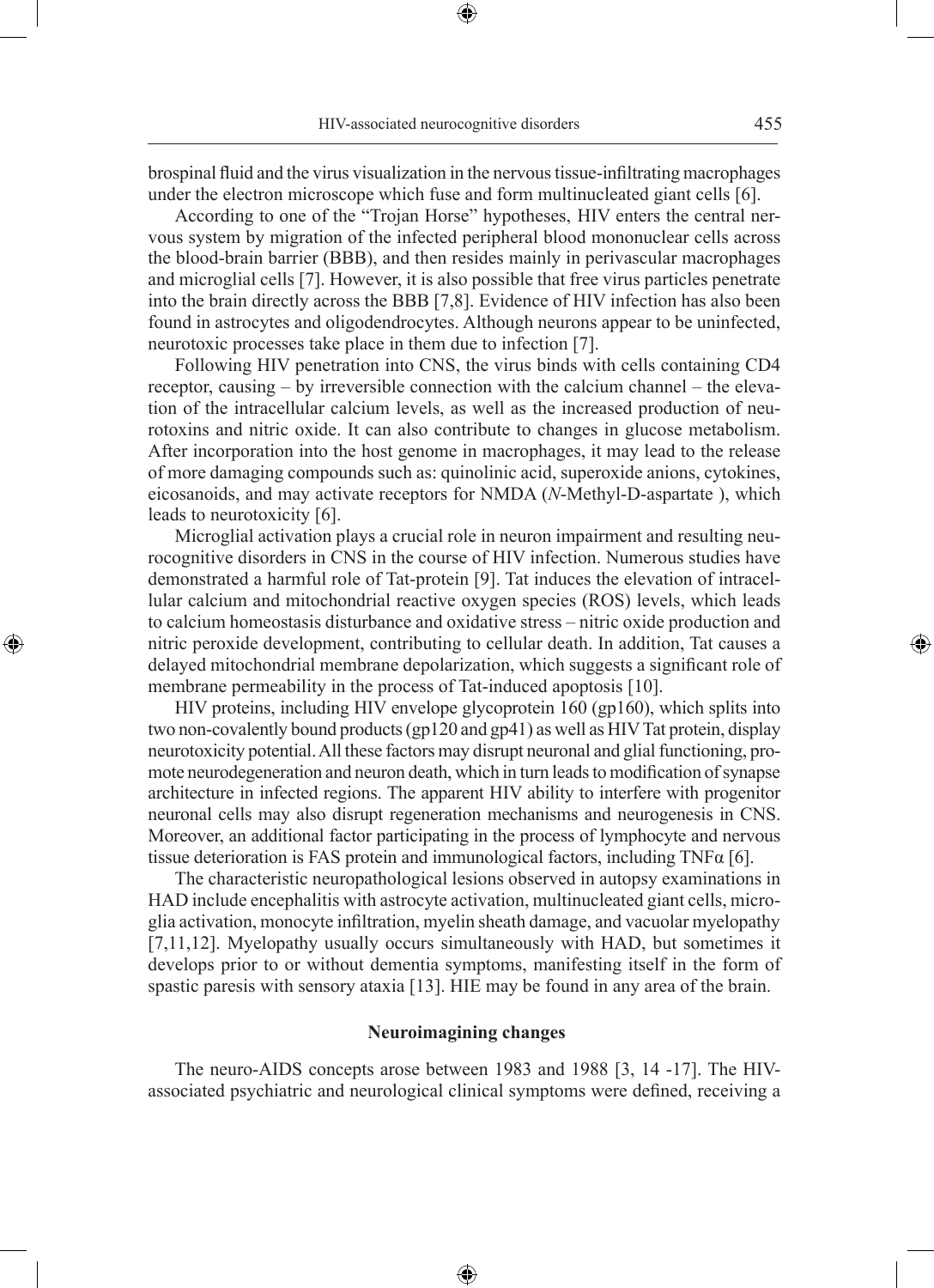brospinal fluid and the virus visualization in the nervous tissue-infiltrating macrophages under the electron microscope which fuse and form multinucleated giant cells [6].

⊕

According to one of the "Trojan Horse" hypotheses, HIV enters the central nervous system by migration of the infected peripheral blood mononuclear cells across the blood-brain barrier (BBB), and then resides mainly in perivascular macrophages and microglial cells [7]. However, it is also possible that free virus particles penetrate into the brain directly across the BBB [7,8]. Evidence of HIV infection has also been found in astrocytes and oligodendrocytes. Although neurons appear to be uninfected, neurotoxic processes take place in them due to infection [7].

Following HIV penetration into CNS, the virus binds with cells containing CD4 receptor, causing – by irreversible connection with the calcium channel – the elevation of the intracellular calcium levels, as well as the increased production of neurotoxins and nitric oxide. It can also contribute to changes in glucose metabolism. After incorporation into the host genome in macrophages, it may lead to the release of more damaging compounds such as: quinolinic acid, superoxide anions, cytokines, eicosanoids, and may activate receptors for NMDA (*N*-Methyl-D-aspartate ), which leads to neurotoxicity [6].

Microglial activation plays a crucial role in neuron impairment and resulting neurocognitive disorders in CNS in the course of HIV infection. Numerous studies have demonstrated a harmful role of Tat-protein [9]. Tat induces the elevation of intracellular calcium and mitochondrial reactive oxygen species (ROS) levels, which leads to calcium homeostasis disturbance and oxidative stress – nitric oxide production and nitric peroxide development, contributing to cellular death. In addition, Tat causes a delayed mitochondrial membrane depolarization, which suggests a significant role of membrane permeability in the process of Tat-induced apoptosis [10].

◈

HIV proteins, including HIV envelope glycoprotein 160 (gp160), which splits into two non-covalently bound products (gp120 and gp41) as well as HIV Tat protein, display neurotoxicity potential. All these factors may disrupt neuronal and glial functioning, promote neurodegeneration and neuron death, which in turn leads to modification of synapse architecture in infected regions. The apparent HIV ability to interfere with progenitor neuronal cells may also disrupt regeneration mechanisms and neurogenesis in CNS. Moreover, an additional factor participating in the process of lymphocyte and nervous tissue deterioration is FAS protein and immunological factors, including  $TNF\alpha$  [6].

The characteristic neuropathological lesions observed in autopsy examinations in HAD include encephalitis with astrocyte activation, multinucleated giant cells, microglia activation, monocyte infiltration, myelin sheath damage, and vacuolar myelopathy [7,11,12]. Myelopathy usually occurs simultaneously with HAD, but sometimes it develops prior to or without dementia symptoms, manifesting itself in the form of spastic paresis with sensory ataxia [13]. HIE may be found in any area of the brain.

# **Neuroimagining changes**

The neuro-AIDS concepts arose between 1983 and 1988 [3, 14 -17]. The HIVassociated psychiatric and neurological clinical symptoms were defined, receiving a

⊕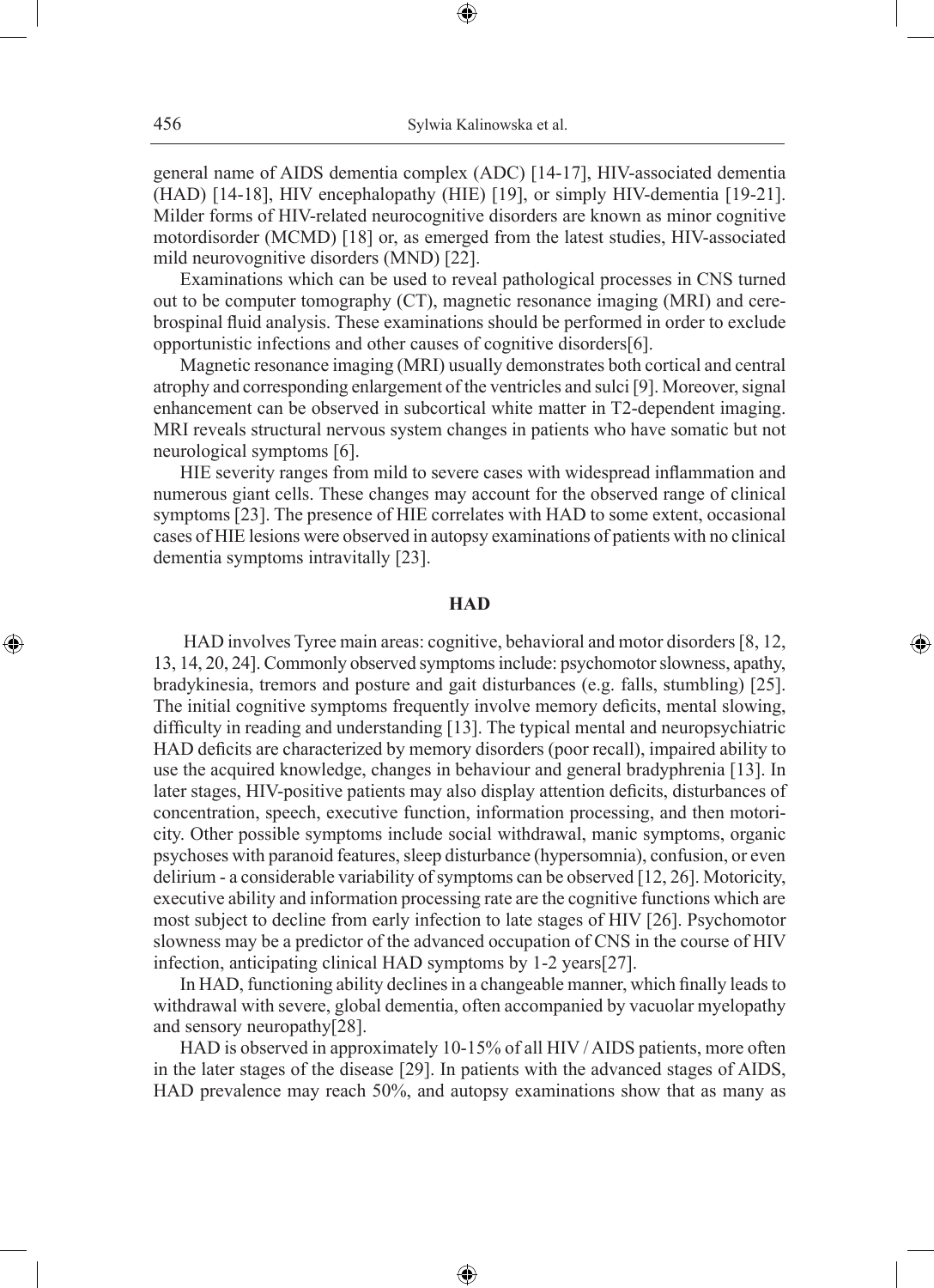⊕

general name of AIDS dementia complex (ADC) [14-17], HIV-associated dementia (HAD) [14-18], HIV encephalopathy (HIE) [19], or simply HIV-dementia [19-21]. Milder forms of HIV-related neurocognitive disorders are known as minor cognitive motordisorder (MCMD) [18] or, as emerged from the latest studies, HIV-associated mild neurovognitive disorders (MND) [22].

Examinations which can be used to reveal pathological processes in CNS turned out to be computer tomography (CT), magnetic resonance imaging (MRI) and cerebrospinal fluid analysis. These examinations should be performed in order to exclude opportunistic infections and other causes of cognitive disorders[6].

Magnetic resonance imaging (MRI) usually demonstrates both cortical and central atrophy and corresponding enlargement of the ventricles and sulci [9]. Moreover, signal enhancement can be observed in subcortical white matter in T2-dependent imaging. MRI reveals structural nervous system changes in patients who have somatic but not neurological symptoms [6].

HIE severity ranges from mild to severe cases with widespread inflammation and numerous giant cells. These changes may account for the observed range of clinical symptoms [23]. The presence of HIE correlates with HAD to some extent, occasional cases of HIE lesions were observed in autopsy examinations of patients with no clinical dementia symptoms intravitally [23].

### **HAD**

◈

 HAD involves Tyree main areas: cognitive, behavioral and motor disorders [8, 12, 13, 14, 20, 24]. Commonly observed symptoms include: psychomotor slowness, apathy, bradykinesia, tremors and posture and gait disturbances (e.g. falls, stumbling) [25]. The initial cognitive symptoms frequently involve memory deficits, mental slowing, difficulty in reading and understanding [13]. The typical mental and neuropsychiatric HAD deficits are characterized by memory disorders (poor recall), impaired ability to use the acquired knowledge, changes in behaviour and general bradyphrenia [13]. In later stages, HIV-positive patients may also display attention deficits, disturbances of concentration, speech, executive function, information processing, and then motoricity. Other possible symptoms include social withdrawal, manic symptoms, organic psychoses with paranoid features, sleep disturbance (hypersomnia), confusion, or even delirium - a considerable variability of symptoms can be observed [12, 26]. Motoricity, executive ability and information processing rate are the cognitive functions which are most subject to decline from early infection to late stages of HIV [26]. Psychomotor slowness may be a predictor of the advanced occupation of CNS in the course of HIV infection, anticipating clinical HAD symptoms by 1-2 years[27].

In HAD, functioning ability declines in a changeable manner, which finally leads to withdrawal with severe, global dementia, often accompanied by vacuolar myelopathy and sensory neuropathy[28].

HAD is observed in approximately 10-15% of all HIV / AIDS patients, more often in the later stages of the disease [29]. In patients with the advanced stages of AIDS, HAD prevalence may reach 50%, and autopsy examinations show that as many as

⊕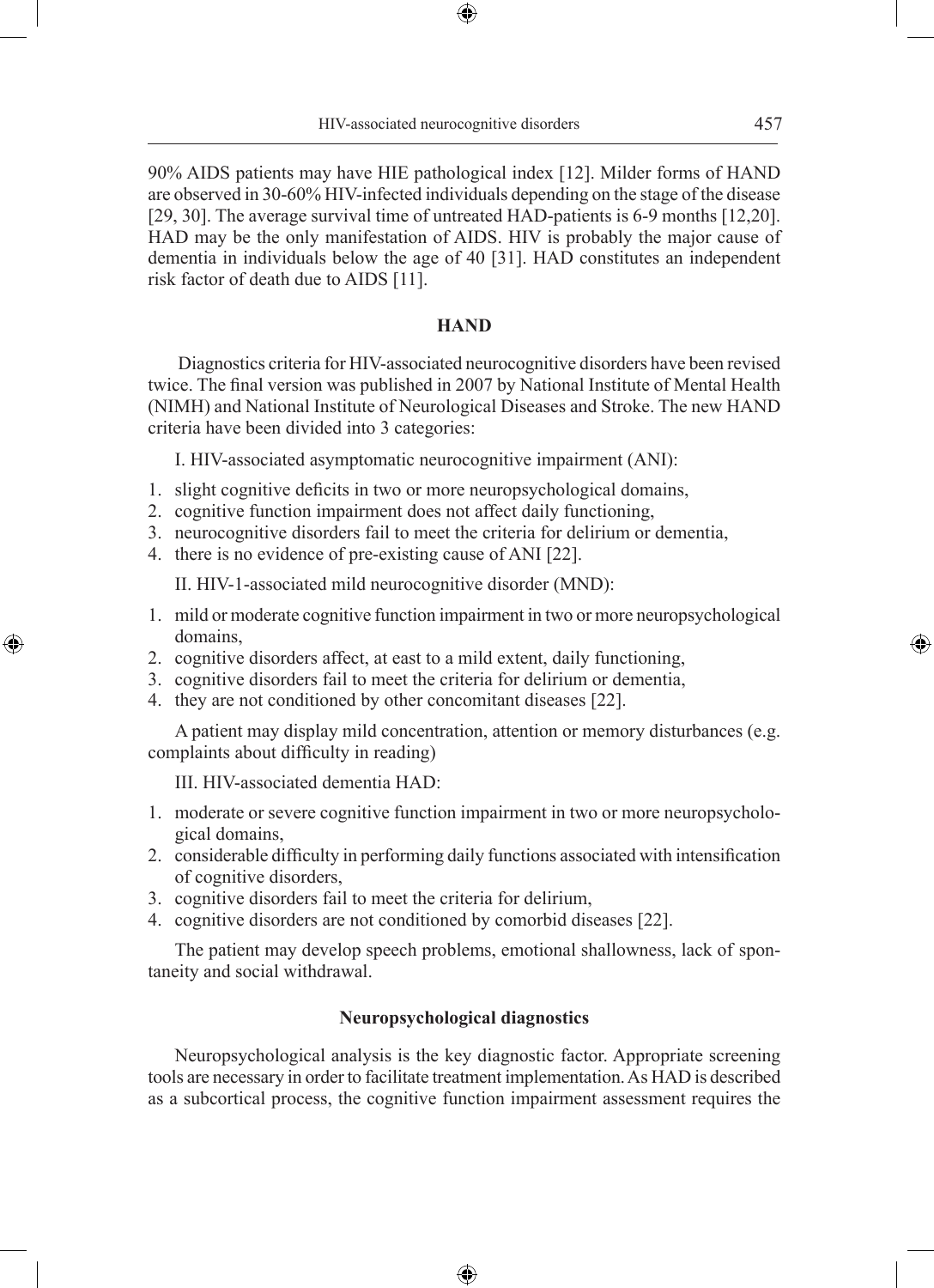⊕

90% AIDS patients may have HIE pathological index [12]. Milder forms of HAND are observed in 30-60% HIV-infected individuals depending on the stage of the disease [29, 30]. The average survival time of untreated HAD-patients is 6-9 months [12,20]. HAD may be the only manifestation of AIDS. HIV is probably the major cause of dementia in individuals below the age of 40 [31]. HAD constitutes an independent risk factor of death due to AIDS [11].

#### **HAND**

Diagnostics criteria for HIV-associated neurocognitive disorders have been revised twice. The final version was published in 2007 by National Institute of Mental Health (NIMH) and National Institute of Neurological Diseases and Stroke. The new HAND criteria have been divided into 3 categories:

I. HIV-associated asymptomatic neurocognitive impairment (ANI):

- 1. slight cognitive deficits in two or more neuropsychological domains,
- 2. cognitive function impairment does not affect daily functioning,
- 3. neurocognitive disorders fail to meet the criteria for delirium or dementia,
- 4. there is no evidence of pre-existing cause of ANI [22].

II. HIV-1-associated mild neurocognitive disorder (MND):

- 1. mild or moderate cognitive function impairment in two or more neuropsychological domains,
- 2. cognitive disorders affect, at east to a mild extent, daily functioning,
- 3. cognitive disorders fail to meet the criteria for delirium or dementia,
- 4. they are not conditioned by other concomitant diseases [22].

A patient may display mild concentration, attention or memory disturbances (e.g. complaints about difficulty in reading)

III. HIV-associated dementia HAD:

◈

- 1. moderate or severe cognitive function impairment in two or more neuropsychological domains,
- 2. considerable difficulty in performing daily functions associated with intensification of cognitive disorders,
- 3. cognitive disorders fail to meet the criteria for delirium,
- 4. cognitive disorders are not conditioned by comorbid diseases [22].

The patient may develop speech problems, emotional shallowness, lack of spontaneity and social withdrawal.

# **Neuropsychological diagnostics**

Neuropsychological analysis is the key diagnostic factor. Appropriate screening tools are necessary in order to facilitate treatment implementation. As HAD is described as a subcortical process, the cognitive function impairment assessment requires the

⊕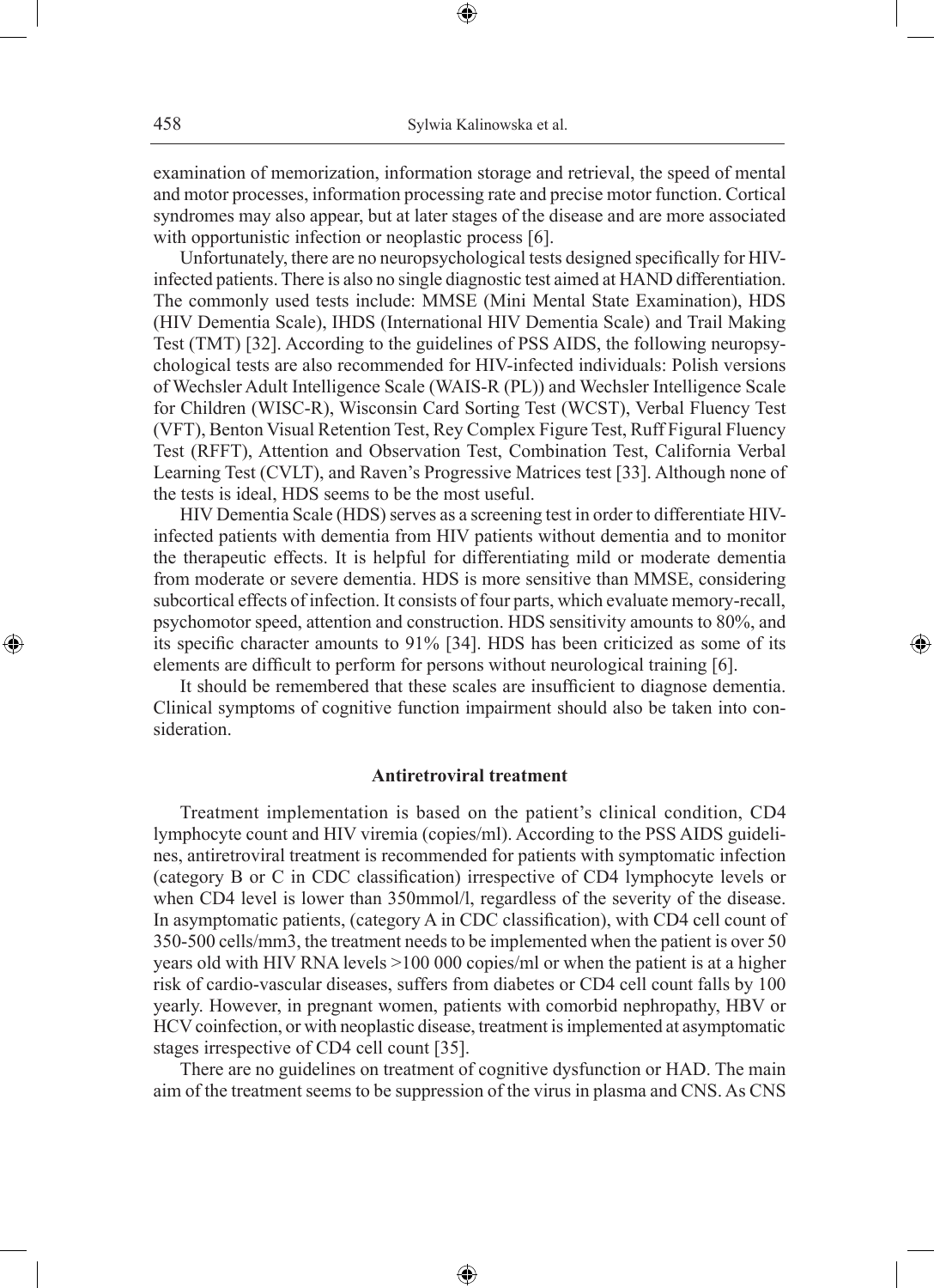examination of memorization, information storage and retrieval, the speed of mental and motor processes, information processing rate and precise motor function. Cortical syndromes may also appear, but at later stages of the disease and are more associated with opportunistic infection or neoplastic process [6].

⊕

Unfortunately, there are no neuropsychological tests designed specifically for HIVinfected patients. There is also no single diagnostic test aimed at HAND differentiation. The commonly used tests include: MMSE (Mini Mental State Examination), HDS (HIV Dementia Scale), IHDS (International HIV Dementia Scale) and Trail Making Test (TMT) [32]. According to the guidelines of PSS AIDS, the following neuropsychological tests are also recommended for HIV-infected individuals: Polish versions of Wechsler Adult Intelligence Scale (WAIS-R (PL)) and Wechsler Intelligence Scale for Children (WISC-R), Wisconsin Card Sorting Test (WCST), Verbal Fluency Test (VFT), Benton Visual Retention Test, Rey Complex Figure Test, Ruff Figural Fluency Test (RFFT), Attention and Observation Test, Combination Test, California Verbal Learning Test (CVLT), and Raven's Progressive Matrices test [33]. Although none of the tests is ideal, HDS seems to be the most useful.

HIV Dementia Scale (HDS) serves as a screening test in order to differentiate HIVinfected patients with dementia from HIV patients without dementia and to monitor the therapeutic effects. It is helpful for differentiating mild or moderate dementia from moderate or severe dementia. HDS is more sensitive than MMSE, considering subcortical effects of infection. It consists of four parts, which evaluate memory-recall, psychomotor speed, attention and construction. HDS sensitivity amounts to 80%, and its specific character amounts to 91% [34]. HDS has been criticized as some of its elements are difficult to perform for persons without neurological training [6].

◈

It should be remembered that these scales are insufficient to diagnose dementia. Clinical symptoms of cognitive function impairment should also be taken into consideration.

#### **Antiretroviral treatment**

Treatment implementation is based on the patient's clinical condition, CD4 lymphocyte count and HIV viremia (copies/ml). According to the PSS AIDS guidelines, antiretroviral treatment is recommended for patients with symptomatic infection (category B or C in CDC classification) irrespective of CD4 lymphocyte levels or when CD4 level is lower than 350mmol/l, regardless of the severity of the disease. In asymptomatic patients, (category A in CDC classification), with CD4 cell count of 350-500 cells/mm3, the treatment needs to be implemented when the patient is over 50 years old with HIV RNA levels >100 000 copies/ml or when the patient is at a higher risk of cardio-vascular diseases, suffers from diabetes or CD4 cell count falls by 100 yearly. However, in pregnant women, patients with comorbid nephropathy, HBV or HCV coinfection, or with neoplastic disease, treatment is implemented at asymptomatic stages irrespective of CD4 cell count [35].

There are no guidelines on treatment of cognitive dysfunction or HAD. The main aim of the treatment seems to be suppression of the virus in plasma and CNS. As CNS

⊕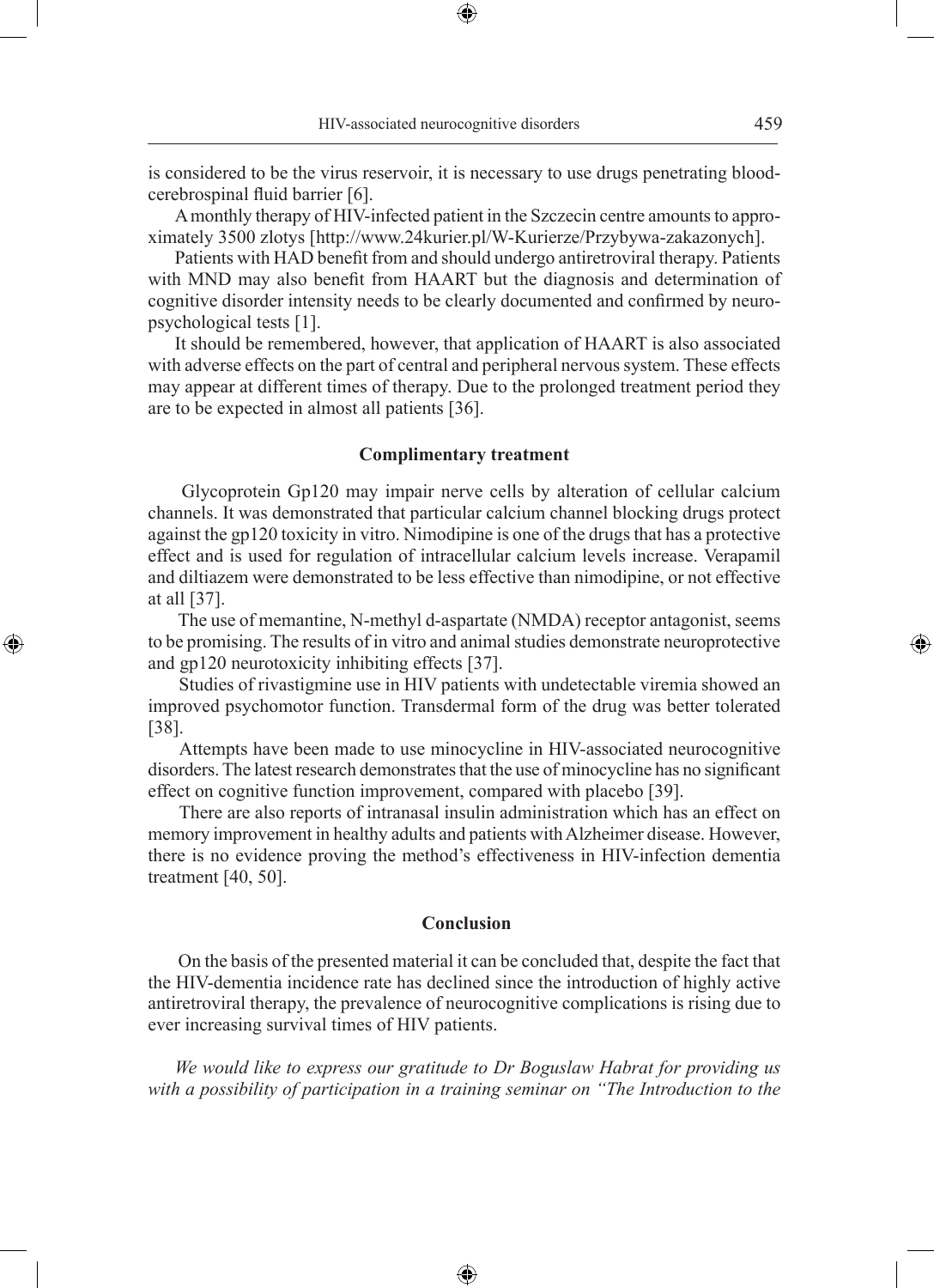is considered to be the virus reservoir, it is necessary to use drugs penetrating bloodcerebrospinal fluid barrier [6].

⊕

A monthly therapy of HIV-infected patient in the Szczecin centre amounts to approximately 3500 zlotys [http://www.24kurier.pl/W-Kurierze/Przybywa-zakazonych].

Patients with HAD benefit from and should undergo antiretroviral therapy. Patients with MND may also benefit from HAART but the diagnosis and determination of cognitive disorder intensity needs to be clearly documented and confirmed by neuropsychological tests [1].

It should be remembered, however, that application of HAART is also associated with adverse effects on the part of central and peripheral nervous system. These effects may appear at different times of therapy. Due to the prolonged treatment period they are to be expected in almost all patients [36].

## **Complimentary treatment**

 Glycoprotein Gp120 may impair nerve cells by alteration of cellular calcium channels. It was demonstrated that particular calcium channel blocking drugs protect against the gp120 toxicity in vitro. Nimodipine is one of the drugs that has a protective effect and is used for regulation of intracellular calcium levels increase. Verapamil and diltiazem were demonstrated to be less effective than nimodipine, or not effective at all [37].

 The use of memantine, N-methyl d-aspartate (NMDA) receptor antagonist, seems to be promising. The results of in vitro and animal studies demonstrate neuroprotective and gp120 neurotoxicity inhibiting effects [37].

◈

 Studies of rivastigmine use in HIV patients with undetectable viremia showed an improved psychomotor function. Transdermal form of the drug was better tolerated [38].

 Attempts have been made to use minocycline in HIV-associated neurocognitive disorders. The latest research demonstrates that the use of minocycline has no significant effect on cognitive function improvement, compared with placebo [39].

 There are also reports of intranasal insulin administration which has an effect on memory improvement in healthy adults and patients with Alzheimer disease. However, there is no evidence proving the method's effectiveness in HIV-infection dementia treatment [40, 50].

#### **Conclusion**

 On the basis of the presented material it can be concluded that, despite the fact that the HIV-dementia incidence rate has declined since the introduction of highly active antiretroviral therapy, the prevalence of neurocognitive complications is rising due to ever increasing survival times of HIV patients.

*We would like to express our gratitude to Dr Boguslaw Habrat for providing us with a possibility of participation in a training seminar on "The Introduction to the* 

⊕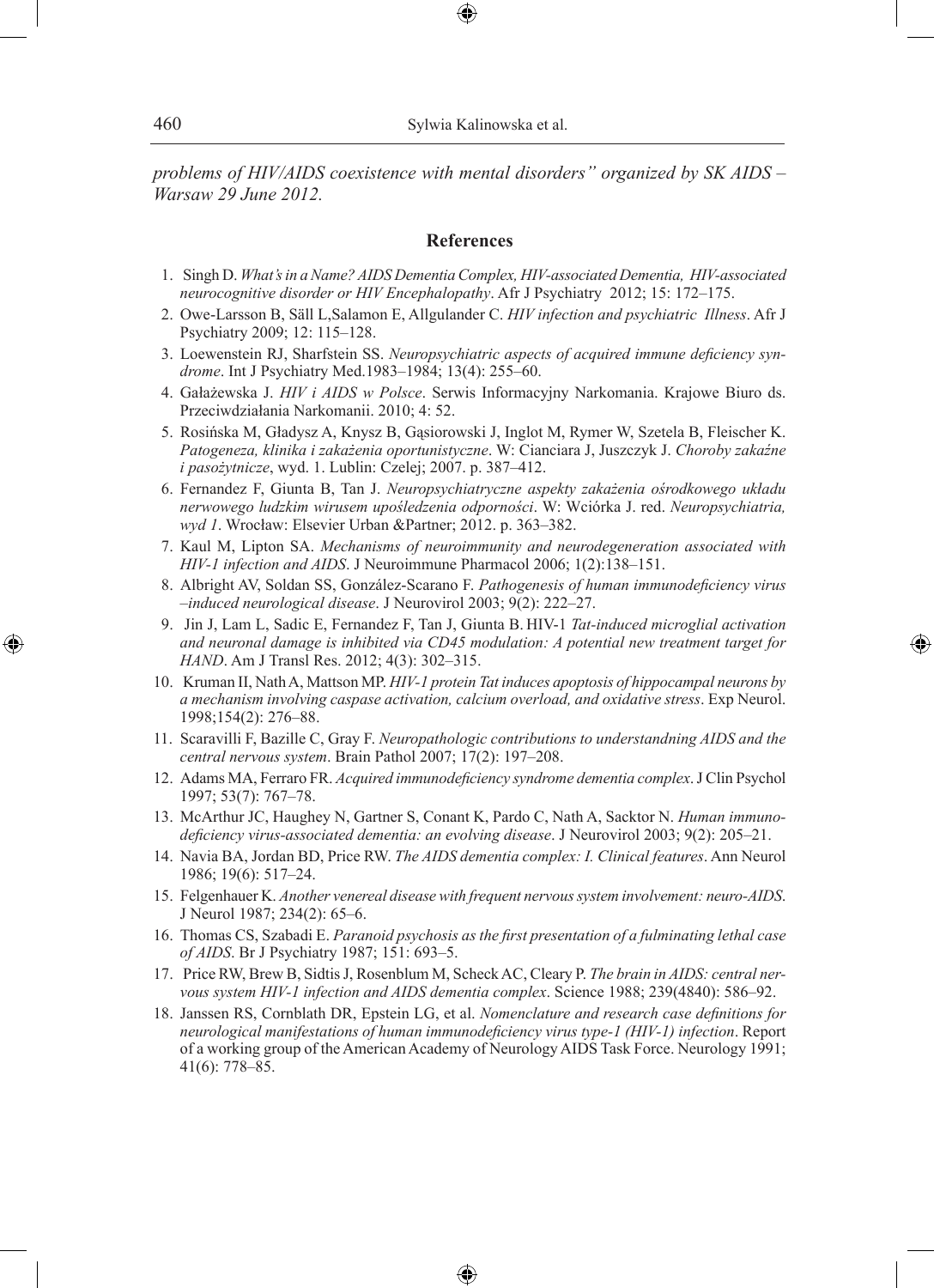*problems of HIV/AIDS coexistence with mental disorders" organized by SK AIDS – Warsaw 29 June 2012.*

⊕

### **References**

- 1. Singh D. *What's in a Name? AIDS Dementia Complex, HIV-associated Dementia, HIV-associated neurocognitive disorder or HIV Encephalopathy*. Afr J Psychiatry 2012; 15: 172–175.
- 2. Owe-Larsson B, Säll L,Salamon E, Allgulander C. *HIV infection and psychiatric Illness*. Afr J Psychiatry 2009; 12: 115–128.
- 3. Loewenstein RJ, Sharfstein SS. *Neuropsychiatric aspects of acquired immune deficiency syndrome*. Int J Psychiatry Med.1983–1984; 13(4): 255–60.
- 4. Gałażewska J. *HIV i AIDS w Polsce*. Serwis Informacyjny Narkomania. Krajowe Biuro ds. Przeciwdziałania Narkomanii. 2010; 4: 52.
- 5. Rosińska M, Gładysz A, Knysz B, Gąsiorowski J, Inglot M, Rymer W, Szetela B, Fleischer K. *Patogeneza, klinika i zakażenia oportunistyczne*. W: Cianciara J, Juszczyk J. *Choroby zakaźne i pasożytnicze*, wyd. 1. Lublin: Czelej; 2007. p. 387–412.
- 6. Fernandez F, Giunta B, Tan J. *Neuropsychiatryczne aspekty zakażenia ośrodkowego układu nerwowego ludzkim wirusem upośledzenia odporności*. W: Wciórka J. red. *Neuropsychiatria, wyd 1*. Wrocław: Elsevier Urban &Partner; 2012. p. 363–382.
- 7. Kaul M, Lipton SA. *Mechanisms of neuroimmunity and neurodegeneration associated with HIV-1 infection and AIDS*. J Neuroimmune Pharmacol 2006; 1(2):138–151.
- 8. Albright AV, Soldan SS, González-Scarano F. *Pathogenesis of human immunodeficiency virus –induced neurological disease*. J Neurovirol 2003; 9(2): 222–27.
- 9. Jin J, Lam L, Sadic E, Fernandez F, Tan J, Giunta B. HIV-1 *Tat-induced microglial activation and neuronal damage is inhibited via CD45 modulation: A potential new treatment target for HAND*. Am J Transl Res. 2012; 4(3): 302–315.

◈

- 10. Kruman II, Nath A, Mattson MP. *HIV-1 protein Tat induces apoptosis of hippocampal neurons by a mechanism involving caspase activation, calcium overload, and oxidative stress*. Exp Neurol. 1998;154(2): 276–88.
- 11. Scaravilli F, Bazille C, Gray F. *Neuropathologic contributions to understandning AIDS and the central nervous system*. Brain Pathol 2007; 17(2): 197–208.
- 12. Adams MA, Ferraro FR. *Acquired immunodeficiency syndrome dementia complex*. J Clin Psychol 1997; 53(7): 767–78.
- 13. McArthur JC, Haughey N, Gartner S, Conant K, Pardo C, Nath A, Sacktor N. *Human immunodeficiency virus-associated dementia: an evolving disease*. J Neurovirol 2003; 9(2): 205–21.
- 14. Navia BA, Jordan BD, Price RW. *The AIDS dementia complex: I. Clinical features*. Ann Neurol 1986; 19(6): 517–24.
- 15. Felgenhauer K. *Another venereal disease with frequent nervous system involvement: neuro-AIDS*. J Neurol 1987; 234(2): 65–6.
- 16. Thomas CS, Szabadi E. *Paranoid psychosis as the first presentation of a fulminating lethal case of AIDS*. Br J Psychiatry 1987; 151: 693–5.
- 17. Price RW, Brew B, Sidtis J, Rosenblum M, Scheck AC, Cleary P. *The brain in AIDS: central nervous system HIV-1 infection and AIDS dementia complex*. Science 1988; 239(4840): 586–92.
- 18. Janssen RS, Cornblath DR, Epstein LG, et al. *Nomenclature and research case definitions for neurological manifestations of human immunodeficiency virus type-1 (HIV-1) infection*. Report of a working group of the American Academy of Neurology AIDS Task Force. Neurology 1991; 41(6): 778–85.

⊕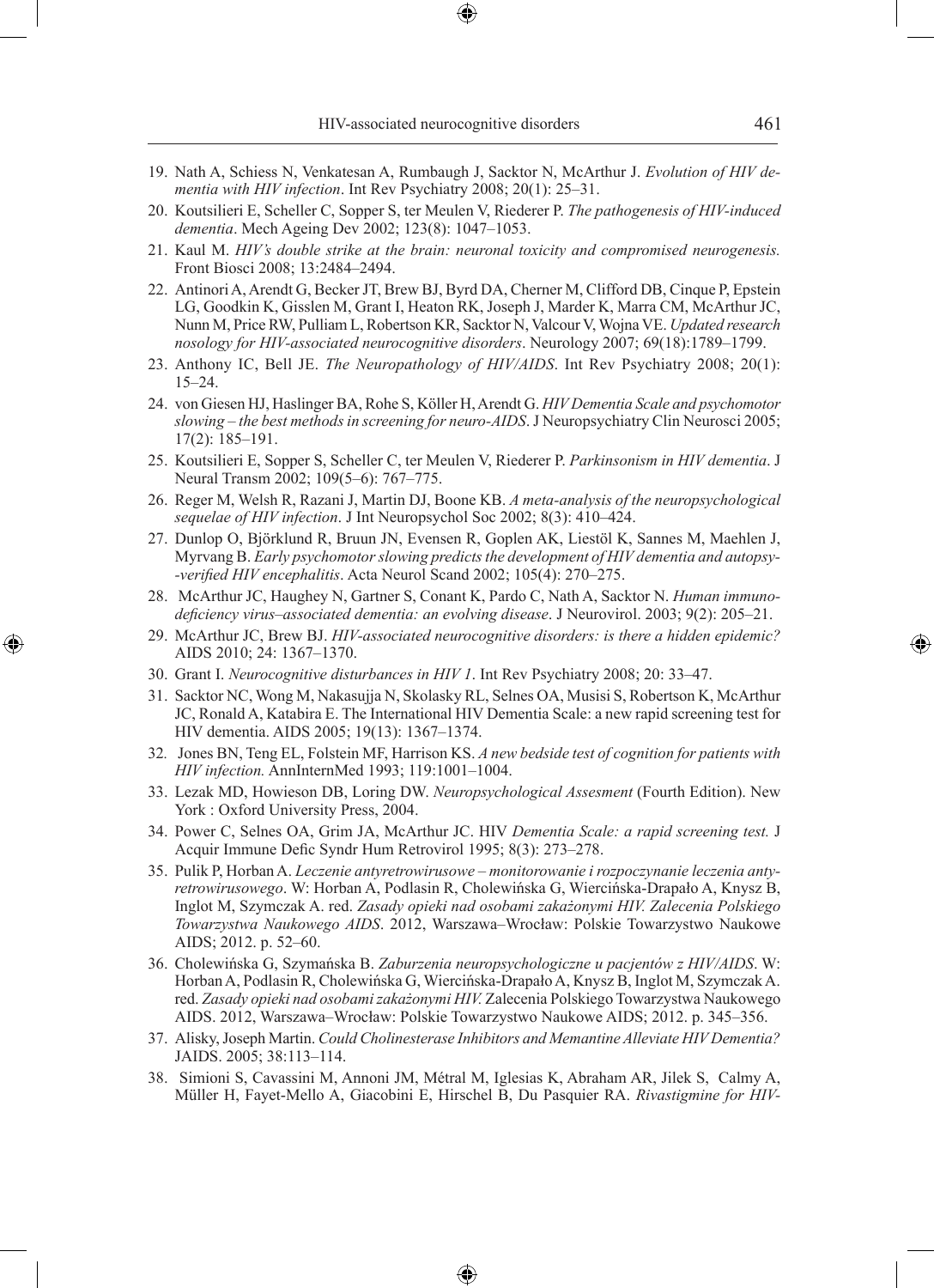- 19. Nath A, Schiess N, Venkatesan A, Rumbaugh J, Sacktor N, McArthur J. *Evolution of HIV dementia with HIV infection*. Int Rev Psychiatry 2008; 20(1): 25–31.
- 20. Koutsilieri E, Scheller C, Sopper S, ter Meulen V, Riederer P. *The pathogenesis of HIV-induced dementia*. Mech Ageing Dev 2002; 123(8): 1047–1053.
- 21. Kaul M. *HIV's double strike at the brain: neuronal toxicity and compromised neurogenesis.*  Front Biosci 2008; 13:2484–2494.
- 22. Antinori A, Arendt G, Becker JT, Brew BJ, Byrd DA, Cherner M, Clifford DB, Cinque P, Epstein LG, Goodkin K, Gisslen M, Grant I, Heaton RK, Joseph J, Marder K, Marra CM, McArthur JC, Nunn M, Price RW, Pulliam L, Robertson KR, Sacktor N, Valcour V, Wojna VE. *Updated research nosology for HIV-associated neurocognitive disorders*. Neurology 2007; 69(18):1789–1799.
- 23. Anthony IC, Bell JE. *The Neuropathology of HIV/AIDS*. Int Rev Psychiatry 2008; 20(1): 15–24.
- 24. von Giesen HJ, Haslinger BA, Rohe S, Köller H, Arendt G. *HIV Dementia Scale and psychomotor slowing – the best methods in screening for neuro-AIDS*. J Neuropsychiatry Clin Neurosci 2005; 17(2): 185–191.
- 25. Koutsilieri E, Sopper S, Scheller C, ter Meulen V, Riederer P. *Parkinsonism in HIV dementia*. J Neural Transm 2002; 109(5–6): 767–775.
- 26. Reger M, Welsh R, Razani J, Martin DJ, Boone KB. *A meta-analysis of the neuropsychological sequelae of HIV infection*. J Int Neuropsychol Soc 2002; 8(3): 410–424.
- 27. Dunlop O, Björklund R, Bruun JN, Evensen R, Goplen AK, Liestöl K, Sannes M, Maehlen J, Myrvang B. *Early psychomotor slowing predicts the development of HIV dementia and autopsy- -verified HIV encephalitis*. Acta Neurol Scand 2002; 105(4): 270–275.
- 28. McArthur JC, Haughey N, Gartner S, Conant K, Pardo C, Nath A, Sacktor N. *Human immunodeficiency virus–associated dementia: an evolving disease*. J Neurovirol. 2003; 9(2): 205–21.
- 29. McArthur JC, Brew BJ. *HIV-associated neurocognitive disorders: is there a hidden epidemic?* AIDS 2010; 24: 1367–1370.
- 30. Grant I. *Neurocognitive disturbances in HIV 1*. Int Rev Psychiatry 2008; 20: 33–47.

◈

- 31. Sacktor NC, Wong M, Nakasujja N, Skolasky RL, Selnes OA, Musisi S, Robertson K, McArthur JC, Ronald A, Katabira E. The International HIV Dementia Scale: a new rapid screening test for HIV dementia. AIDS 2005; 19(13): 1367–1374.
- 32*.* Jones BN, Teng EL, Folstein MF, Harrison KS. *A new bedside test of cognition for patients with HIV infection.* AnnInternMed 1993; 119:1001–1004.
- 33. Lezak MD, Howieson DB, Loring DW. *Neuropsychological Assesment* (Fourth Edition). New York : Oxford University Press, 2004.
- 34. Power C, Selnes OA, Grim JA, McArthur JC. HIV *Dementia Scale: a rapid screening test.* J Acquir Immune Defic Syndr Hum Retrovirol 1995; 8(3): 273–278.
- 35. Pulik P, Horban A. *Leczenie antyretrowirusowe monitorowanie i rozpoczynanie leczenia antyretrowirusowego*. W: Horban A, Podlasin R, Cholewińska G, Wiercińska-Drapało A, Knysz B, Inglot M, Szymczak A. red. *Zasady opieki nad osobami zakażonymi HIV. Zalecenia Polskiego Towarzystwa Naukowego AIDS*. 2012, Warszawa–Wrocław: Polskie Towarzystwo Naukowe AIDS; 2012. p. 52–60.
- 36. Cholewińska G, Szymańska B. *Zaburzenia neuropsychologiczne u pacjentów z HIV/AIDS*. W: Horban A, Podlasin R, Cholewińska G, Wiercińska-Drapało A, Knysz B, Inglot M, Szymczak A. red. *Zasady opieki nad osobami zakażonymi HIV.* Zalecenia Polskiego Towarzystwa Naukowego AIDS. 2012, Warszawa–Wrocław: Polskie Towarzystwo Naukowe AIDS; 2012. p. 345–356.
- 37. Alisky, Joseph Martin. *Could Cholinesterase Inhibitors and Memantine Alleviate HIV Dementia?*  JAIDS. 2005; 38:113–114.
- 38. Simioni S, Cavassini M, Annoni JM, Métral M, Iglesias K, Abraham AR, Jilek S, Calmy A, Müller H, Fayet-Mello A, Giacobini E, Hirschel B, Du Pasquier RA. *Rivastigmine for HIV-*

⊕